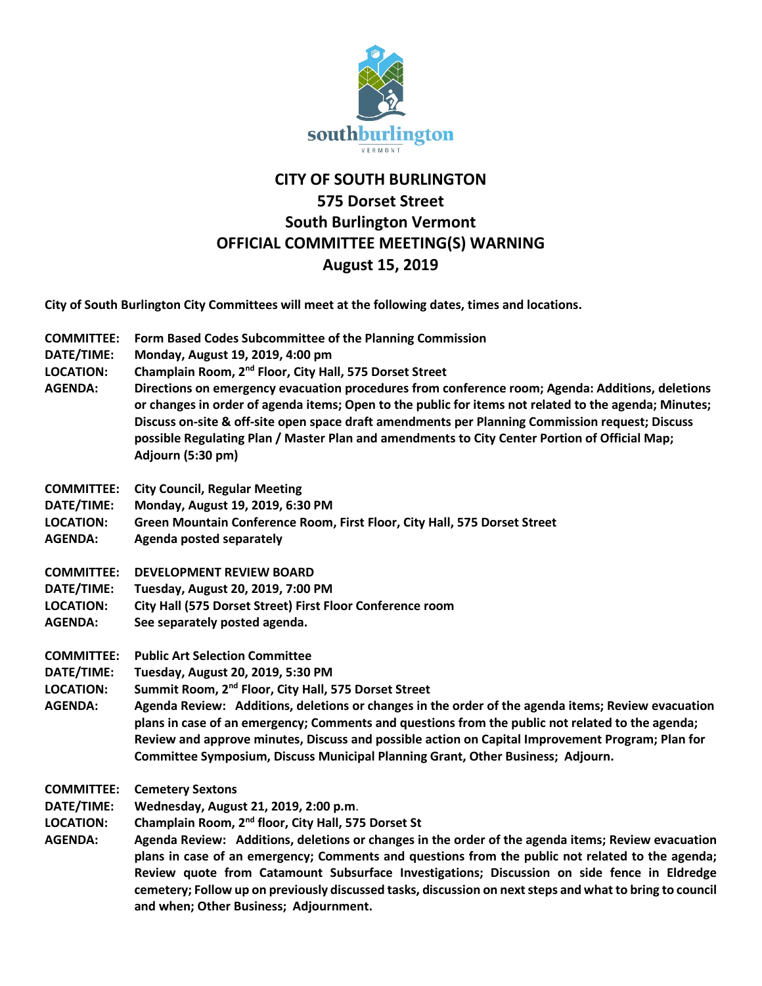

## **CITY OF SOUTH BURLINGTON 575 Dorset Street South Burlington Vermont OFFICIAL COMMITTEE MEETING(S) WARNING August 15, 2019**

**City of South Burlington City Committees will meet at the following dates, times and locations.** 

- **COMMITTEE: Form Based Codes Subcommittee of the Planning Commission**
- **DATE/TIME: Monday, August 19, 2019, 4:00 pm**
- **LOCATION: Champlain Room, 2nd Floor, City Hall, 575 Dorset Street**
- **AGENDA: Directions on emergency evacuation procedures from conference room; Agenda: Additions, deletions or changes in order of agenda items; Open to the public for items not related to the agenda; Minutes; Discuss on-site & off-site open space draft amendments per Planning Commission request; Discuss possible Regulating Plan / Master Plan and amendments to City Center Portion of Official Map; Adjourn (5:30 pm)**
- **COMMITTEE: City Council, Regular Meeting**
- **DATE/TIME: Monday, August 19, 2019, 6:30 PM**
- **LOCATION: Green Mountain Conference Room, First Floor, City Hall, 575 Dorset Street**
- **AGENDA: Agenda posted separately**
- **COMMITTEE: DEVELOPMENT REVIEW BOARD**
- **DATE/TIME: Tuesday, August 20, 2019, 7:00 PM**
- **LOCATION: City Hall (575 Dorset Street) First Floor Conference room**
- **AGENDA: See separately posted agenda.**
- **COMMITTEE: Public Art Selection Committee**
- **DATE/TIME: Tuesday, August 20, 2019, 5:30 PM**
- **LOCATION: Summit Room, 2nd Floor, City Hall, 575 Dorset Street**
- **AGENDA: Agenda Review: Additions, deletions or changes in the order of the agenda items; Review evacuation plans in case of an emergency; Comments and questions from the public not related to the agenda; Review and approve minutes, Discuss and possible action on Capital Improvement Program; Plan for Committee Symposium, Discuss Municipal Planning Grant, Other Business; Adjourn.**
- **COMMITTEE: Cemetery Sextons**
- **DATE/TIME: Wednesday, August 21, 2019, 2:00 p.m**.
- **LOCATION: Champlain Room, 2nd floor, City Hall, 575 Dorset St**
- **AGENDA: Agenda Review: Additions, deletions or changes in the order of the agenda items; Review evacuation plans in case of an emergency; Comments and questions from the public not related to the agenda; Review quote from Catamount Subsurface Investigations; Discussion on side fence in Eldredge cemetery; Follow up on previously discussed tasks, discussion on next steps and what to bring to council and when; Other Business; Adjournment.**